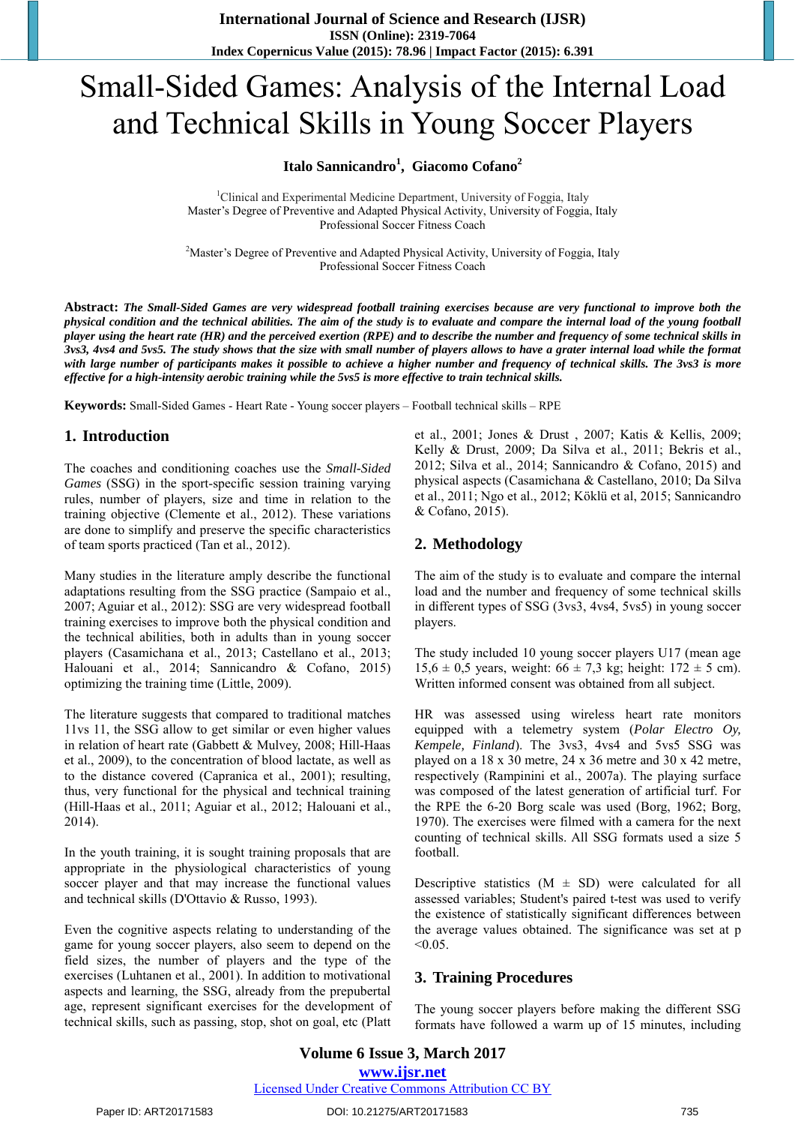# Small-Sided Games: Analysis of the Internal Load and Technical Skills in Young Soccer Players

## **Italo Sannicandro<sup>1</sup> , Giacomo Cofano<sup>2</sup>**

<sup>1</sup>Clinical and Experimental Medicine Department, University of Foggia, Italy Master's Degree of Preventive and Adapted Physical Activity, University of Foggia, Italy Professional Soccer Fitness Coach

<sup>2</sup>Master's Degree of Preventive and Adapted Physical Activity, University of Foggia, Italy Professional Soccer Fitness Coach

Abstract: The Small-Sided Games are very widespread football training exercises because are very functional to improve both the physical condition and the technical abilities. The aim of the study is to evaluate and compare the internal load of the young football player using the heart rate (HR) and the perceived exertion (RPE) and to describe the number and frequency of some technical skills in 3vs3, 4vs4 and 5vs5. The study shows that the size with small number of players allows to have a grater internal load while the format with large number of participants makes it possible to achieve a higher number and frequency of technical skills. The 3vs3 is more *effective for a high-intensity aerobic training while the 5vs5 is more effective to train technical skills.*

**Keywords:** Small-Sided Games - Heart Rate - Young soccer players – Football technical skills – RPE

# **1. Introduction**

The coaches and conditioning coaches use the *Small-Sided Games* (SSG) in the sport-specific session training varying rules, number of players, size and time in relation to the training objective (Clemente et al., 2012). These variations are done to simplify and preserve the specific characteristics of team sports practiced (Tan et al., 2012).

Many studies in the literature amply describe the functional adaptations resulting from the SSG practice (Sampaio et al., 2007; Aguiar et al., 2012): SSG are very widespread football training exercises to improve both the physical condition and the technical abilities, both in adults than in young soccer players (Casamichana et al., 2013; Castellano et al., 2013; Halouani et al., 2014; Sannicandro & Cofano, 2015) optimizing the training time (Little, 2009).

The literature suggests that compared to traditional matches 11vs 11, the SSG allow to get similar or even higher values in relation of heart rate (Gabbett & Mulvey, 2008; Hill-Haas et al., 2009), to the concentration of blood lactate, as well as to the distance covered (Capranica et al., 2001); resulting, thus, very functional for the physical and technical training (Hill-Haas et al., 2011; Aguiar et al., 2012; Halouani et al., 2014).

In the youth training, it is sought training proposals that are appropriate in the physiological characteristics of young soccer player and that may increase the functional values and technical skills (D'Ottavio & Russo, 1993).

Even the cognitive aspects relating to understanding of the game for young soccer players, also seem to depend on the field sizes, the number of players and the type of the exercises (Luhtanen et al., 2001). In addition to motivational aspects and learning, the SSG, already from the prepubertal age, represent significant exercises for the development of technical skills, such as passing, stop, shot on goal, etc (Platt et al., 2001; Jones & Drust , 2007; Katis & Kellis, 2009; Kelly & Drust, 2009; Da Silva et al., 2011; Bekris et al., 2012; Silva et al., 2014; Sannicandro & Cofano, 2015) and physical aspects (Casamichana & Castellano, 2010; Da Silva et al., 2011; Ngo et al., 2012; Köklü et al, 2015; Sannicandro & Cofano, 2015).

# **2. Methodology**

The aim of the study is to evaluate and compare the internal load and the number and frequency of some technical skills in different types of SSG (3vs3, 4vs4, 5vs5) in young soccer players.

The study included 10 young soccer players U17 (mean age 15,6 ± 0,5 years, weight:  $66 \pm 7.3$  kg; height:  $172 \pm 5$  cm). Written informed consent was obtained from all subject.

HR was assessed using wireless heart rate monitors equipped with a telemetry system (*Polar Electro Oy, Kempele, Finland*). The 3vs3, 4vs4 and 5vs5 SSG was played on a 18 x 30 metre, 24 x 36 metre and 30 x 42 metre, respectively (Rampinini et al., 2007a). The playing surface was composed of the latest generation of artificial turf. For the RPE the 6-20 Borg scale was used (Borg, 1962; Borg, 1970). The exercises were filmed with a camera for the next counting of technical skills. All SSG formats used a size 5 football.

Descriptive statistics  $(M \pm SD)$  were calculated for all assessed variables; Student's paired t-test was used to verify the existence of statistically significant differences between the average values obtained. The significance was set at p  $< 0.05$ .

# **3. Training Procedures**

The young soccer players before making the different SSG formats have followed a warm up of 15 minutes, including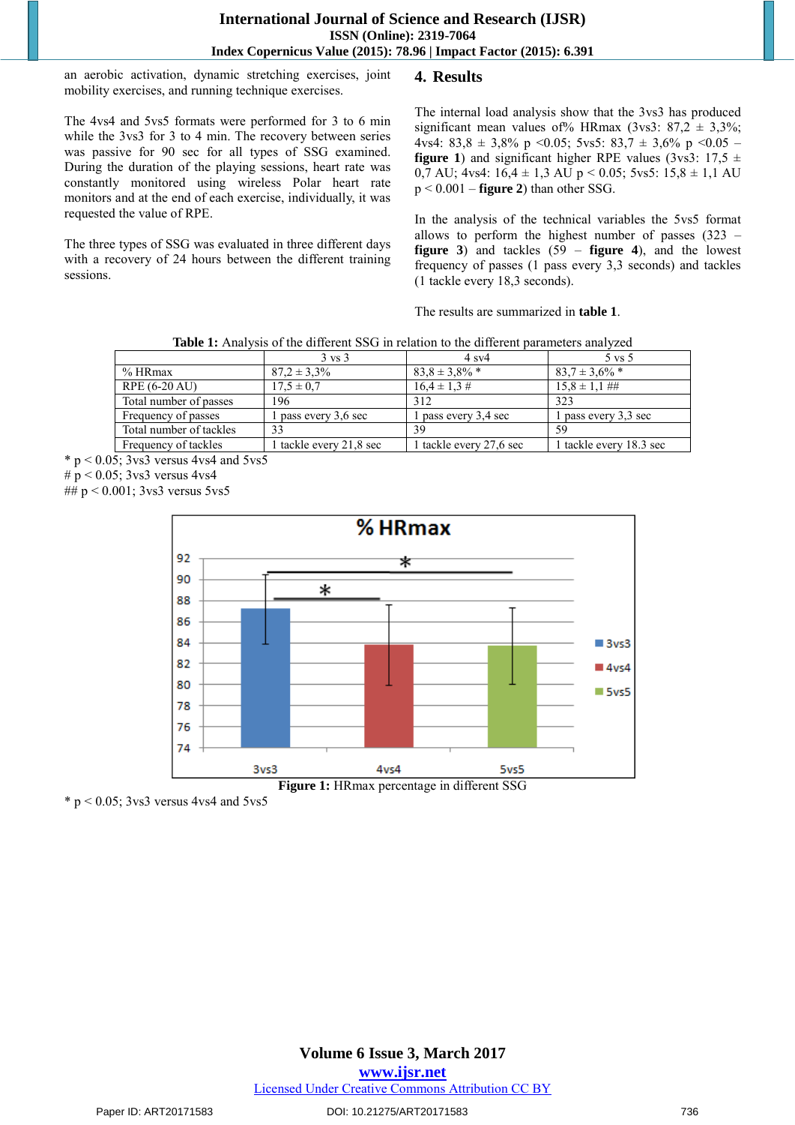an aerobic activation, dynamic stretching exercises, joint mobility exercises, and running technique exercises.

The 4vs4 and 5vs5 formats were performed for 3 to 6 min while the 3vs3 for 3 to 4 min. The recovery between series was passive for 90 sec for all types of SSG examined. During the duration of the playing sessions, heart rate was constantly monitored using wireless Polar heart rate monitors and at the end of each exercise, individually, it was requested the value of RPE.

The three types of SSG was evaluated in three different days with a recovery of 24 hours between the different training sessions.

## **4. Results**

The internal load analysis show that the 3vs3 has produced significant mean values of % HRmax (3vs3:  $87.2 \pm 3.3\%$ ; 4vs4: 83,8  $\pm$  3,8% p < 0.05; 5vs5: 83,7  $\pm$  3,6% p < 0.05 – **figure 1**) and significant higher RPE values (3vs3:  $17.5 \pm$ 0,7 AU; 4vs4:  $16.4 \pm 1.3$  AU p < 0.05; 5vs5:  $15.8 \pm 1.1$  AU p < 0.001 – **figure 2**) than other SSG.

In the analysis of the technical variables the 5vs5 format allows to perform the highest number of passes (323 – **figure 3**) and tackles (59 – **figure 4**), and the lowest frequency of passes (1 pass every 3,3 seconds) and tackles (1 tackle every 18,3 seconds).

The results are summarized in **table 1**.

| <b>Table 1:</b> Analysis of the different SSG in relation to the different parameters analyzed |  |
|------------------------------------------------------------------------------------------------|--|
|                                                                                                |  |

|                         | $3 \text{ vs } 3$       | $4$ sv $4$              | $5 \text{ vs } 5$       |
|-------------------------|-------------------------|-------------------------|-------------------------|
| % HRmax                 | $87.2 \pm 3.3\%$        | $83.8 \pm 3.8\%$ *      | $83.7 \pm 3.6\%$ *      |
| RPE (6-20 AU)           | $17.5 \pm 0.7$          | $16.4 \pm 1.3 \#$       | $15.8 \pm 1.1$ ##       |
| Total number of passes  | 196                     | 312                     | 323                     |
| Frequency of passes     | 1 pass every 3,6 sec    | 1 pass every 3,4 sec    | 1 pass every 3,3 sec    |
| Total number of tackles | 33                      | 39                      | 59                      |
| Frequency of tackles    | 1 tackle every 21,8 sec | 1 tackle every 27,6 sec | 1 tackle every 18.3 sec |

 $*$  p < 0.05; 3 vs3 versus 4 vs4 and 5 vs5

#  $p < 0.05$ ; 3vs3 versus 4vs4

##  $p < 0.001$ ; 3vs3 versus 5vs5



 $*$  p < 0.05; 3 vs3 versus 4 vs4 and 5 vs5

**Volume 6 Issue 3, March 2017 www.ijsr.net** Licensed Under Creative Commons Attribution CC BY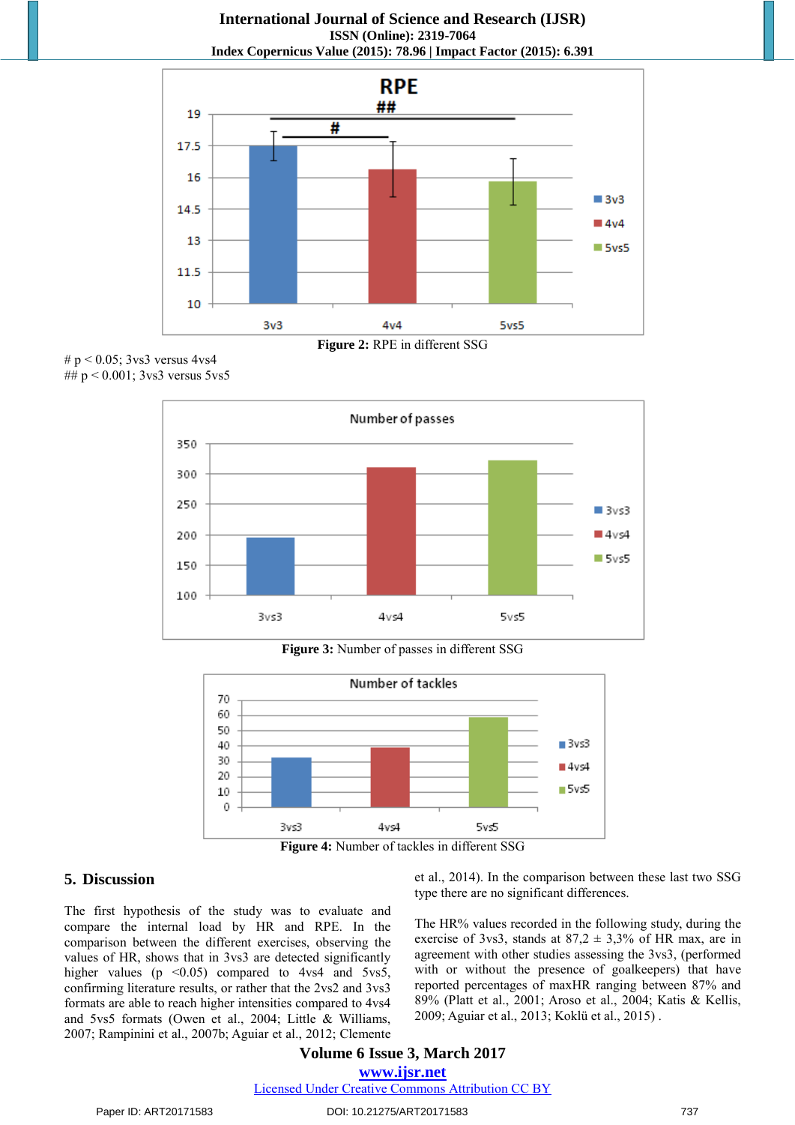**International Journal of Science and Research (IJSR) ISSN (Online): 2319-7064 Index Copernicus Value (2015): 78.96 | Impact Factor (2015): 6.391** 



#  $p < 0.05$ ; 3vs3 versus 4vs4 ##  $p < 0.001$ ; 3vs3 versus 5vs5



**Figure 3:** Number of passes in different SSG



**Figure 4:** Number of tackles in different SSG

#### **5. Discussion**

The first hypothesis of the study was to evaluate and compare the internal load by HR and RPE. In the comparison between the different exercises, observing the values of HR, shows that in 3vs3 are detected significantly higher values ( $p \leq 0.05$ ) compared to 4vs4 and 5vs5, confirming literature results, or rather that the 2vs2 and 3vs3 formats are able to reach higher intensities compared to 4vs4 and 5vs5 formats (Owen et al., 2004; Little & Williams, 2007; Rampinini et al., 2007b; Aguiar et al., 2012; Clemente et al., 2014). In the comparison between these last two SSG type there are no significant differences.

The HR% values recorded in the following study, during the exercise of 3vs3, stands at  $87.2 \pm 3.3\%$  of HR max, are in agreement with other studies assessing the 3vs3, (performed with or without the presence of goalkeepers) that have reported percentages of maxHR ranging between 87% and 89% (Platt et al., 2001; Aroso et al., 2004; Katis & Kellis, 2009; Aguiar et al., 2013; Koklü et al., 2015) .

#### **Volume 6 Issue 3, March 2017 www.ijsr.net** Licensed Under Creative Commons Attribution CC BY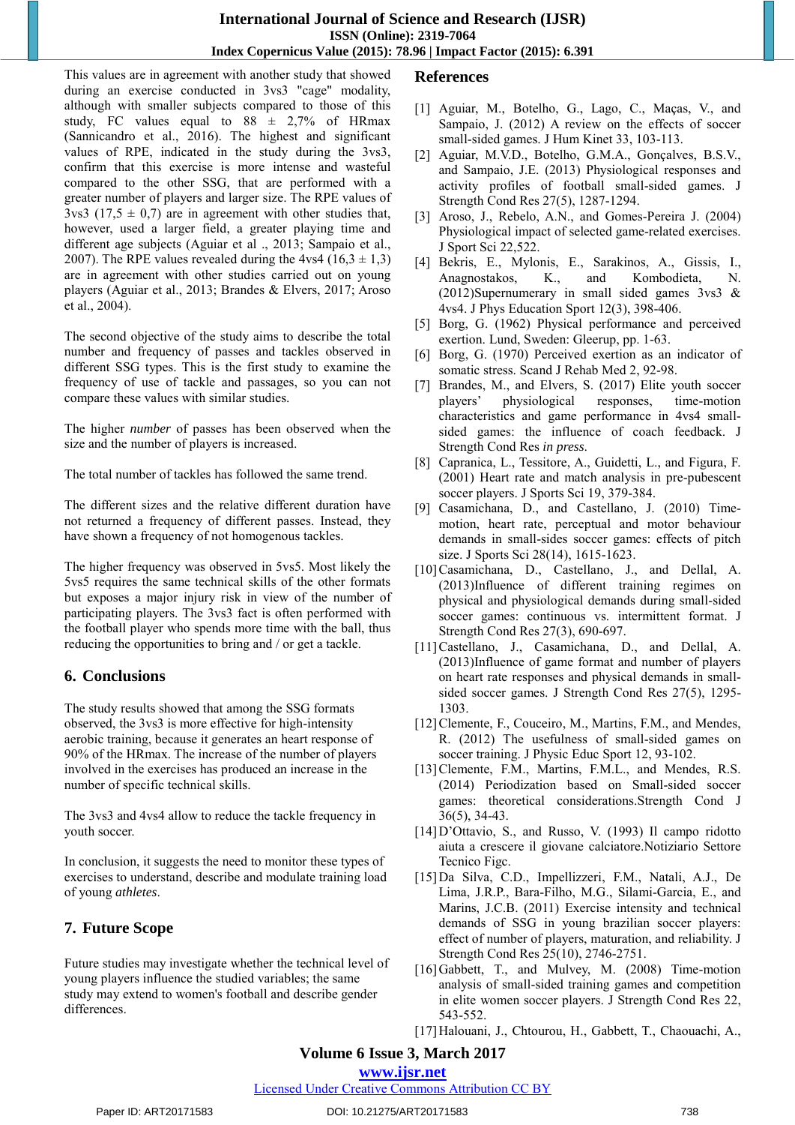#### **International Journal of Science and Research (IJSR) ISSN (Online): 2319-7064 Index Copernicus Value (2015): 78.96 | Impact Factor (2015): 6.391**

This values are in agreement with another study that showed during an exercise conducted in 3vs3 "cage" modality, although with smaller subjects compared to those of this study, FC values equal to  $88 \pm 2,7\%$  of HRmax (Sannicandro et al., 2016). The highest and significant values of RPE, indicated in the study during the 3vs3, confirm that this exercise is more intense and wasteful compared to the other SSG, that are performed with a greater number of players and larger size. The RPE values of  $3\text{vs}3$  (17,5  $\pm$  0,7) are in agreement with other studies that, however, used a larger field, a greater playing time and different age subjects (Aguiar et al ., 2013; Sampaio et al., 2007). The RPE values revealed during the 4vs4 (16,3  $\pm$  1,3) are in agreement with other studies carried out on young players (Aguiar et al., 2013; Brandes & Elvers, 2017; Aroso et al., 2004).

The second objective of the study aims to describe the total number and frequency of passes and tackles observed in different SSG types. This is the first study to examine the frequency of use of tackle and passages, so you can not compare these values with similar studies.

The higher *number* of passes has been observed when the size and the number of players is increased.

The total number of tackles has followed the same trend.

The different sizes and the relative different duration have not returned a frequency of different passes. Instead, they have shown a frequency of not homogenous tackles.

The higher frequency was observed in 5vs5. Most likely the 5vs5 requires the same technical skills of the other formats but exposes a major injury risk in view of the number of participating players. The 3vs3 fact is often performed with the football player who spends more time with the ball, thus reducing the opportunities to bring and / or get a tackle.

# **6. Conclusions**

The study results showed that among the SSG formats observed, the 3vs3 is more effective for high-intensity aerobic training, because it generates an heart response of 90% of the HRmax. The increase of the number of players involved in the exercises has produced an increase in the number of specific technical skills.

The 3vs3 and 4vs4 allow to reduce the tackle frequency in youth soccer.

In conclusion, it suggests the need to monitor these types of exercises to understand, describe and modulate training load of young *athletes*.

# **7. Future Scope**

Future studies may investigate whether the technical level of young players influence the studied variables; the same study may extend to women's football and describe gender differences.

# **References**

- [1] Aguiar, M., Botelho, G., Lago, C., Maças, V., and Sampaio, J. (2012) A review on the effects of soccer small-sided games. J Hum Kinet 33, 103-113.
- [2] Aguiar, M.V.D., Botelho, G.M.A., Gonçalves, B.S.V., and Sampaio, J.E. (2013) Physiological responses and activity profiles of football small-sided games. J Strength Cond Res 27(5), 1287-1294.
- [3] Aroso, J., Rebelo, A.N., and Gomes-Pereira J. (2004) Physiological impact of selected game-related exercises. J Sport Sci 22,522.
- [4] Bekris, E., Mylonis, E., Sarakinos, A., Gissis, I., Anagnostakos, K., and Kombodieta, N. (2012)Supernumerary in small sided games 3vs3 & 4vs4. J Phys Education Sport 12(3), 398-406.
- [5] Borg, G. (1962) Physical performance and perceived exertion. Lund, Sweden: Gleerup, pp. 1-63.
- [6] Borg, G. (1970) Perceived exertion as an indicator of somatic stress. Scand J Rehab Med 2, 92-98.
- [7] Brandes, M., and Elvers, S. (2017) Elite youth soccer players' physiological responses, time-motion characteristics and game performance in 4vs4 smallsided games: the influence of coach feedback. J Strength Cond Res *in press*.
- [8] Capranica, L., Tessitore, A., Guidetti, L., and Figura, F. (2001) Heart rate and match analysis in pre-pubescent soccer players. J Sports Sci 19, 379-384.
- [9] Casamichana, D., and Castellano, J. (2010) Timemotion, heart rate, perceptual and motor behaviour demands in small-sides soccer games: effects of pitch size. J Sports Sci 28(14), 1615-1623.
- [10]Casamichana, D., Castellano, J., and Dellal, A. (2013)Influence of different training regimes on physical and physiological demands during small-sided soccer games: continuous vs. intermittent format. J Strength Cond Res 27(3), 690-697.
- [11]Castellano, J., Casamichana, D., and Dellal, A. (2013)Influence of game format and number of players on heart rate responses and physical demands in smallsided soccer games. J Strength Cond Res 27(5), 1295- 1303.
- [12] Clemente, F., Couceiro, M., Martins, F.M., and Mendes, R. (2012) The usefulness of small-sided games on soccer training. J Physic Educ Sport 12, 93-102.
- [13] Clemente, F.M., Martins, F.M.L., and Mendes, R.S. (2014) Periodization based on Small-sided soccer games: theoretical considerations.Strength Cond J 36(5), 34-43.
- [14]D'Ottavio, S., and Russo, V. (1993) Il campo ridotto aiuta a crescere il giovane calciatore.Notiziario Settore Tecnico Figc.
- [15]Da Silva, C.D., Impellizzeri, F.M., Natali, A.J., De Lima, J.R.P., Bara-Filho, M.G., Silami-Garcia, E., and Marins, J.C.B. (2011) Exercise intensity and technical demands of SSG in young brazilian soccer players: effect of number of players, maturation, and reliability. J Strength Cond Res 25(10), 2746-2751.
- [16]Gabbett, T., and Mulvey, M. (2008) Time-motion analysis of small-sided training games and competition in elite women soccer players. J Strength Cond Res 22, 543-552.
- [17]Halouani, J., Chtourou, H., Gabbett, T., Chaouachi, A.,

# **Volume 6 Issue 3, March 2017**

# **www.ijsr.net**

## Licensed Under Creative Commons Attribution CC BY